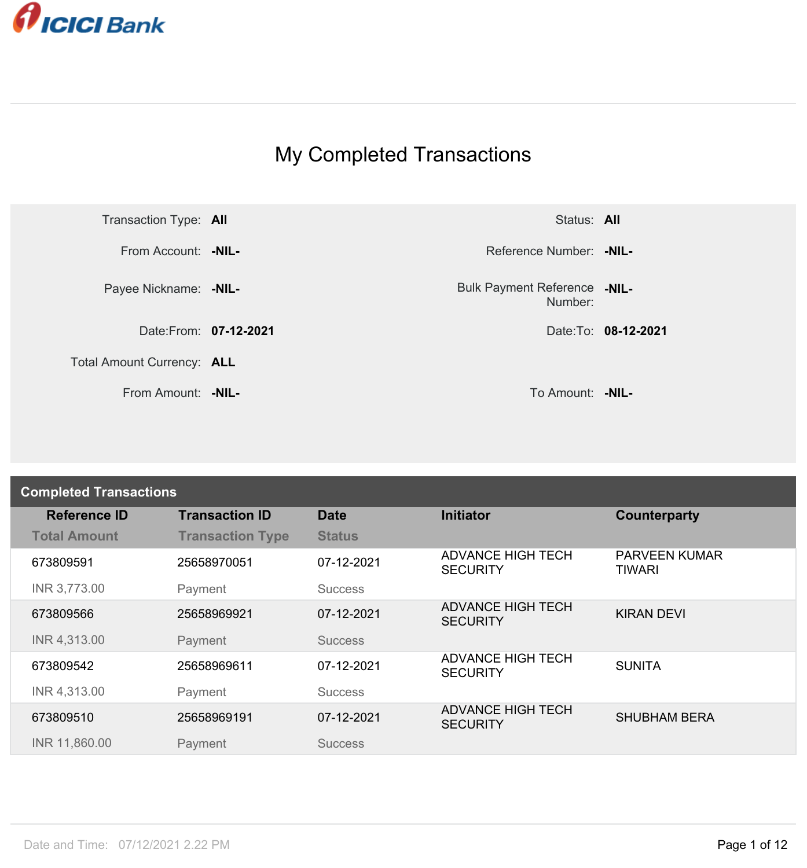

## My Completed Transactions



Number: **-NIL-**

From Amount: **-NIL-** To Amount: **-NIL-**

| <b>Completed Transactions</b> |                         |                |                                             |                                       |
|-------------------------------|-------------------------|----------------|---------------------------------------------|---------------------------------------|
| <b>Reference ID</b>           | <b>Transaction ID</b>   | <b>Date</b>    | <b>Initiator</b>                            | Counterparty                          |
| <b>Total Amount</b>           | <b>Transaction Type</b> | <b>Status</b>  |                                             |                                       |
| 673809591                     | 25658970051             | 07-12-2021     | <b>ADVANCE HIGH TECH</b><br><b>SECURITY</b> | <b>PARVEEN KUMAR</b><br><b>TIWARI</b> |
| INR 3,773.00                  | Payment                 | <b>Success</b> |                                             |                                       |
| 673809566                     | 25658969921             | 07-12-2021     | <b>ADVANCE HIGH TECH</b><br><b>SECURITY</b> | <b>KIRAN DEVI</b>                     |
| INR 4,313.00                  | Payment                 | <b>Success</b> |                                             |                                       |
| 673809542                     | 25658969611             | 07-12-2021     | <b>ADVANCE HIGH TECH</b><br><b>SECURITY</b> | <b>SUNITA</b>                         |
| INR 4,313.00                  | Payment                 | <b>Success</b> |                                             |                                       |
| 673809510                     | 25658969191             | 07-12-2021     | <b>ADVANCE HIGH TECH</b><br><b>SECURITY</b> | <b>SHUBHAM BERA</b>                   |
| INR 11,860.00                 | Payment                 | <b>Success</b> |                                             |                                       |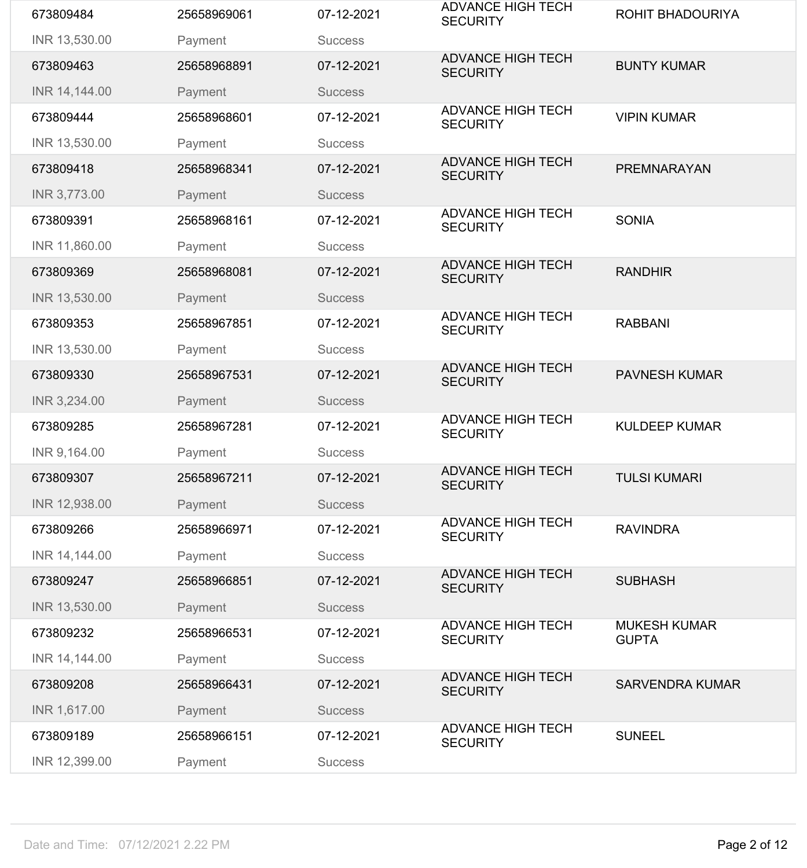| 673809484     | 25658969061 | 07-12-2021     | <b>ADVANCE HIGH TECH</b><br><b>SECURITY</b> | <b>ROHIT BHADOURIYA</b>             |
|---------------|-------------|----------------|---------------------------------------------|-------------------------------------|
| INR 13,530.00 | Payment     | <b>Success</b> |                                             |                                     |
| 673809463     | 25658968891 | 07-12-2021     | <b>ADVANCE HIGH TECH</b><br><b>SECURITY</b> | <b>BUNTY KUMAR</b>                  |
| INR 14,144.00 | Payment     | <b>Success</b> |                                             |                                     |
| 673809444     | 25658968601 | 07-12-2021     | <b>ADVANCE HIGH TECH</b><br><b>SECURITY</b> | <b>VIPIN KUMAR</b>                  |
| INR 13,530.00 | Payment     | <b>Success</b> |                                             |                                     |
| 673809418     | 25658968341 | 07-12-2021     | <b>ADVANCE HIGH TECH</b><br><b>SECURITY</b> | <b>PREMNARAYAN</b>                  |
| INR 3,773.00  | Payment     | <b>Success</b> |                                             |                                     |
| 673809391     | 25658968161 | 07-12-2021     | <b>ADVANCE HIGH TECH</b><br><b>SECURITY</b> | <b>SONIA</b>                        |
| INR 11,860.00 | Payment     | <b>Success</b> |                                             |                                     |
| 673809369     | 25658968081 | 07-12-2021     | <b>ADVANCE HIGH TECH</b><br><b>SECURITY</b> | <b>RANDHIR</b>                      |
| INR 13,530.00 | Payment     | <b>Success</b> |                                             |                                     |
| 673809353     | 25658967851 | 07-12-2021     | <b>ADVANCE HIGH TECH</b><br><b>SECURITY</b> | <b>RABBANI</b>                      |
| INR 13,530.00 | Payment     | <b>Success</b> |                                             |                                     |
| 673809330     | 25658967531 | 07-12-2021     | <b>ADVANCE HIGH TECH</b><br><b>SECURITY</b> | <b>PAVNESH KUMAR</b>                |
| INR 3,234.00  | Payment     | <b>Success</b> |                                             |                                     |
| 673809285     | 25658967281 | 07-12-2021     | <b>ADVANCE HIGH TECH</b><br><b>SECURITY</b> | <b>KULDEEP KUMAR</b>                |
| INR 9,164.00  | Payment     | <b>Success</b> |                                             |                                     |
| 673809307     | 25658967211 | 07-12-2021     | <b>ADVANCE HIGH TECH</b><br><b>SECURITY</b> | <b>TULSI KUMARI</b>                 |
| INR 12,938.00 | Payment     | <b>Success</b> |                                             |                                     |
| 673809266     | 25658966971 | 07-12-2021     | <b>ADVANCE HIGH TECH</b><br><b>SECURITY</b> | <b>RAVINDRA</b>                     |
| INR 14,144.00 | Payment     | <b>Success</b> |                                             |                                     |
| 673809247     | 25658966851 | 07-12-2021     | <b>ADVANCE HIGH TECH</b><br><b>SECURITY</b> | <b>SUBHASH</b>                      |
| INR 13,530.00 | Payment     | <b>Success</b> |                                             |                                     |
| 673809232     | 25658966531 | 07-12-2021     | <b>ADVANCE HIGH TECH</b><br><b>SECURITY</b> | <b>MUKESH KUMAR</b><br><b>GUPTA</b> |
| INR 14,144.00 | Payment     | <b>Success</b> |                                             |                                     |
| 673809208     | 25658966431 | 07-12-2021     | <b>ADVANCE HIGH TECH</b><br><b>SECURITY</b> | <b>SARVENDRA KUMAR</b>              |
| INR 1,617.00  | Payment     | <b>Success</b> |                                             |                                     |
| 673809189     | 25658966151 | 07-12-2021     | <b>ADVANCE HIGH TECH</b><br><b>SECURITY</b> | <b>SUNEEL</b>                       |
| INR 12,399.00 | Payment     | <b>Success</b> |                                             |                                     |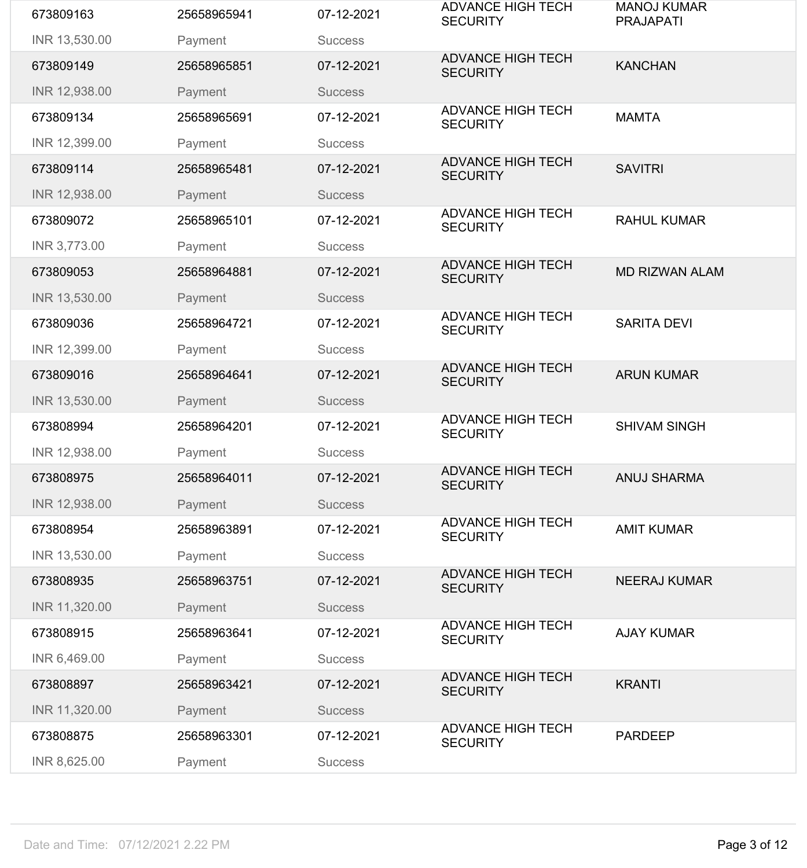| 673809163     | 25658965941 | 07-12-2021     | <b>ADVANCE HIGH TECH</b><br><b>SECURITY</b> | <b>MANOJ KUMAR</b><br><b>PRAJAPATI</b> |
|---------------|-------------|----------------|---------------------------------------------|----------------------------------------|
| INR 13,530.00 | Payment     | <b>Success</b> |                                             |                                        |
| 673809149     | 25658965851 | 07-12-2021     | <b>ADVANCE HIGH TECH</b><br><b>SECURITY</b> | <b>KANCHAN</b>                         |
| INR 12,938.00 | Payment     | <b>Success</b> |                                             |                                        |
| 673809134     | 25658965691 | 07-12-2021     | <b>ADVANCE HIGH TECH</b><br><b>SECURITY</b> | <b>MAMTA</b>                           |
| INR 12,399.00 | Payment     | <b>Success</b> |                                             |                                        |
| 673809114     | 25658965481 | 07-12-2021     | <b>ADVANCE HIGH TECH</b><br><b>SECURITY</b> | <b>SAVITRI</b>                         |
| INR 12,938.00 | Payment     | <b>Success</b> |                                             |                                        |
| 673809072     | 25658965101 | 07-12-2021     | <b>ADVANCE HIGH TECH</b><br><b>SECURITY</b> | <b>RAHUL KUMAR</b>                     |
| INR 3,773.00  | Payment     | <b>Success</b> |                                             |                                        |
| 673809053     | 25658964881 | 07-12-2021     | <b>ADVANCE HIGH TECH</b><br><b>SECURITY</b> | <b>MD RIZWAN ALAM</b>                  |
| INR 13,530.00 | Payment     | <b>Success</b> |                                             |                                        |
| 673809036     | 25658964721 | 07-12-2021     | <b>ADVANCE HIGH TECH</b><br><b>SECURITY</b> | <b>SARITA DEVI</b>                     |
| INR 12,399.00 | Payment     | <b>Success</b> |                                             |                                        |
| 673809016     | 25658964641 | 07-12-2021     | <b>ADVANCE HIGH TECH</b><br><b>SECURITY</b> | <b>ARUN KUMAR</b>                      |
| INR 13,530.00 | Payment     | <b>Success</b> |                                             |                                        |
| 673808994     | 25658964201 | 07-12-2021     | <b>ADVANCE HIGH TECH</b><br><b>SECURITY</b> | <b>SHIVAM SINGH</b>                    |
| INR 12,938.00 | Payment     | <b>Success</b> |                                             |                                        |
| 673808975     | 25658964011 | 07-12-2021     | <b>ADVANCE HIGH TECH</b><br><b>SECURITY</b> | <b>ANUJ SHARMA</b>                     |
| INR 12,938.00 | Payment     | <b>Success</b> |                                             |                                        |
| 673808954     | 25658963891 | 07-12-2021     | <b>ADVANCE HIGH TECH</b><br><b>SECURITY</b> | <b>AMIT KUMAR</b>                      |
| INR 13,530.00 | Payment     | <b>Success</b> |                                             |                                        |
| 673808935     | 25658963751 | 07-12-2021     | <b>ADVANCE HIGH TECH</b><br><b>SECURITY</b> | <b>NEERAJ KUMAR</b>                    |
| INR 11,320.00 | Payment     | <b>Success</b> |                                             |                                        |
| 673808915     | 25658963641 | 07-12-2021     | <b>ADVANCE HIGH TECH</b><br><b>SECURITY</b> | <b>AJAY KUMAR</b>                      |
| INR 6,469.00  | Payment     | <b>Success</b> |                                             |                                        |
| 673808897     | 25658963421 | 07-12-2021     | <b>ADVANCE HIGH TECH</b><br><b>SECURITY</b> | <b>KRANTI</b>                          |
| INR 11,320.00 | Payment     | <b>Success</b> |                                             |                                        |
| 673808875     | 25658963301 | 07-12-2021     | <b>ADVANCE HIGH TECH</b><br><b>SECURITY</b> | <b>PARDEEP</b>                         |
| INR 8,625.00  | Payment     | <b>Success</b> |                                             |                                        |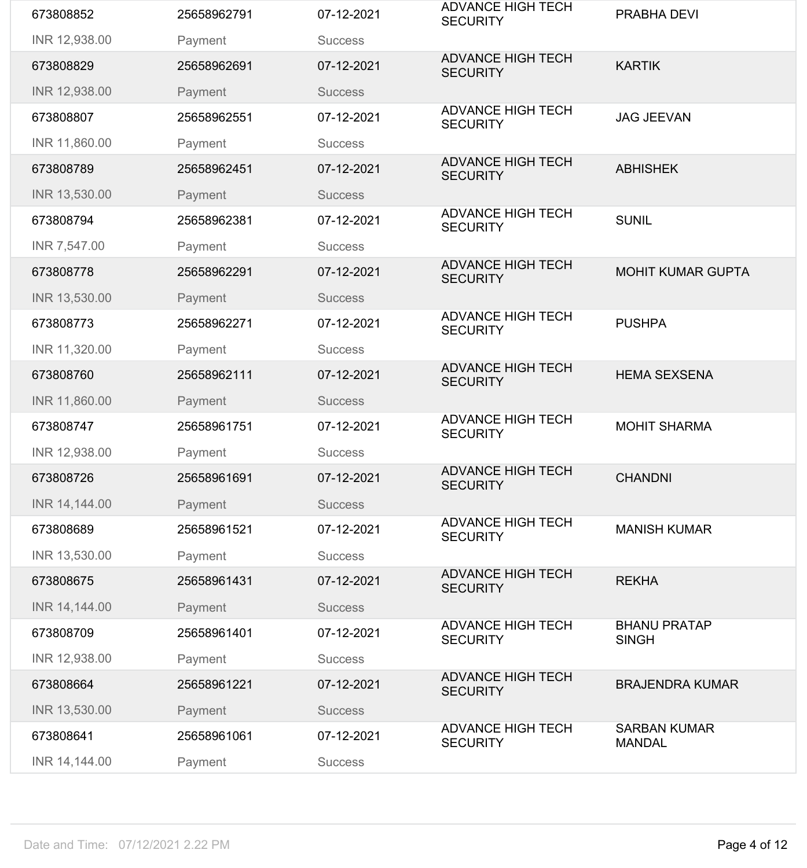| 673808852     | 25658962791 | 07-12-2021     | <b>ADVANCE HIGH TECH</b><br><b>SECURITY</b> | <b>PRABHA DEVI</b>                   |
|---------------|-------------|----------------|---------------------------------------------|--------------------------------------|
| INR 12,938.00 | Payment     | <b>Success</b> |                                             |                                      |
| 673808829     | 25658962691 | 07-12-2021     | <b>ADVANCE HIGH TECH</b><br><b>SECURITY</b> | <b>KARTIK</b>                        |
| INR 12,938.00 | Payment     | <b>Success</b> |                                             |                                      |
| 673808807     | 25658962551 | 07-12-2021     | <b>ADVANCE HIGH TECH</b><br><b>SECURITY</b> | <b>JAG JEEVAN</b>                    |
| INR 11,860.00 | Payment     | <b>Success</b> |                                             |                                      |
| 673808789     | 25658962451 | 07-12-2021     | <b>ADVANCE HIGH TECH</b><br><b>SECURITY</b> | <b>ABHISHEK</b>                      |
| INR 13,530.00 | Payment     | <b>Success</b> |                                             |                                      |
| 673808794     | 25658962381 | 07-12-2021     | <b>ADVANCE HIGH TECH</b><br><b>SECURITY</b> | <b>SUNIL</b>                         |
| INR 7,547.00  | Payment     | <b>Success</b> |                                             |                                      |
| 673808778     | 25658962291 | 07-12-2021     | <b>ADVANCE HIGH TECH</b><br><b>SECURITY</b> | <b>MOHIT KUMAR GUPTA</b>             |
| INR 13,530.00 | Payment     | <b>Success</b> |                                             |                                      |
| 673808773     | 25658962271 | 07-12-2021     | <b>ADVANCE HIGH TECH</b><br><b>SECURITY</b> | <b>PUSHPA</b>                        |
| INR 11,320.00 | Payment     | <b>Success</b> |                                             |                                      |
| 673808760     | 25658962111 | 07-12-2021     | <b>ADVANCE HIGH TECH</b><br><b>SECURITY</b> | <b>HEMA SEXSENA</b>                  |
| INR 11,860.00 | Payment     | <b>Success</b> |                                             |                                      |
| 673808747     | 25658961751 | 07-12-2021     | <b>ADVANCE HIGH TECH</b><br><b>SECURITY</b> | <b>MOHIT SHARMA</b>                  |
| INR 12,938.00 | Payment     | <b>Success</b> |                                             |                                      |
| 673808726     | 25658961691 | 07-12-2021     | <b>ADVANCE HIGH TECH</b><br><b>SECURITY</b> | <b>CHANDNI</b>                       |
| INR 14,144.00 | Payment     | <b>Success</b> |                                             |                                      |
| 673808689     | 25658961521 | 07-12-2021     | <b>ADVANCE HIGH TECH</b><br><b>SECURITY</b> | <b>MANISH KUMAR</b>                  |
| INR 13,530.00 | Payment     | <b>Success</b> |                                             |                                      |
| 673808675     | 25658961431 | 07-12-2021     | <b>ADVANCE HIGH TECH</b><br><b>SECURITY</b> | <b>REKHA</b>                         |
| INR 14,144.00 | Payment     | <b>Success</b> |                                             |                                      |
| 673808709     |             |                | <b>ADVANCE HIGH TECH</b>                    |                                      |
|               | 25658961401 | 07-12-2021     | <b>SECURITY</b>                             | <b>BHANU PRATAP</b><br><b>SINGH</b>  |
| INR 12,938.00 | Payment     | <b>Success</b> |                                             |                                      |
| 673808664     | 25658961221 | 07-12-2021     | <b>ADVANCE HIGH TECH</b><br><b>SECURITY</b> | <b>BRAJENDRA KUMAR</b>               |
| INR 13,530.00 | Payment     | <b>Success</b> |                                             |                                      |
| 673808641     | 25658961061 | 07-12-2021     | <b>ADVANCE HIGH TECH</b><br><b>SECURITY</b> | <b>SARBAN KUMAR</b><br><b>MANDAL</b> |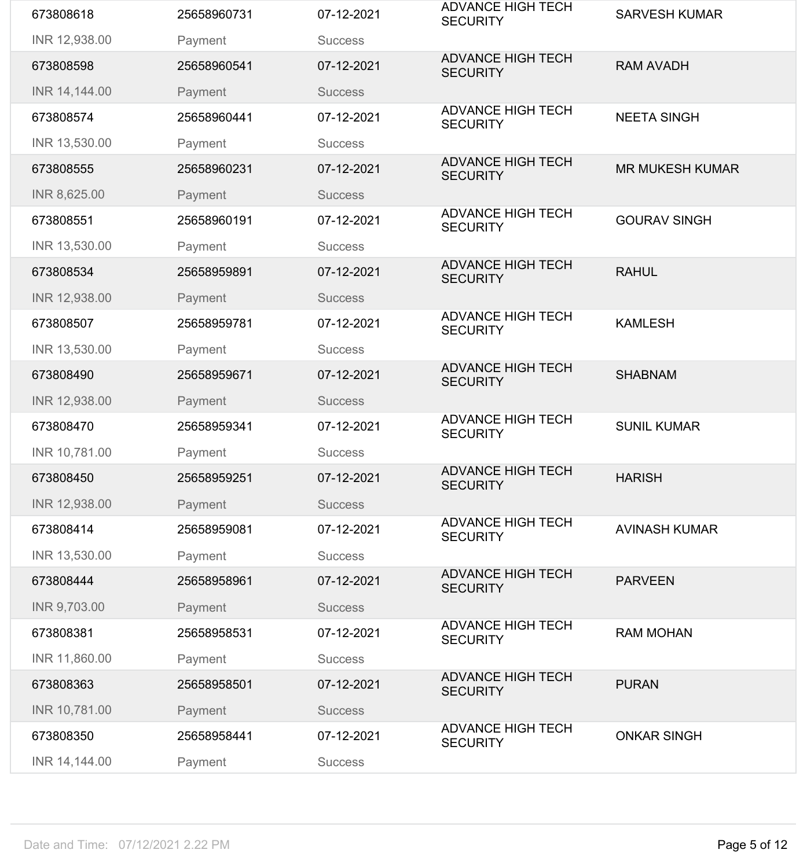| 673808618     | 25658960731 | 07-12-2021     | <b>ADVANCE HIGH TECH</b><br><b>SECURITY</b> | <b>SARVESH KUMAR</b>   |
|---------------|-------------|----------------|---------------------------------------------|------------------------|
| INR 12,938.00 | Payment     | <b>Success</b> |                                             |                        |
| 673808598     | 25658960541 | 07-12-2021     | <b>ADVANCE HIGH TECH</b><br><b>SECURITY</b> | <b>RAM AVADH</b>       |
| INR 14,144.00 | Payment     | <b>Success</b> |                                             |                        |
| 673808574     | 25658960441 | 07-12-2021     | <b>ADVANCE HIGH TECH</b><br><b>SECURITY</b> | <b>NEETA SINGH</b>     |
| INR 13,530.00 | Payment     | <b>Success</b> |                                             |                        |
| 673808555     | 25658960231 | 07-12-2021     | <b>ADVANCE HIGH TECH</b><br><b>SECURITY</b> | <b>MR MUKESH KUMAR</b> |
| INR 8,625.00  | Payment     | <b>Success</b> |                                             |                        |
| 673808551     | 25658960191 | 07-12-2021     | <b>ADVANCE HIGH TECH</b><br><b>SECURITY</b> | <b>GOURAV SINGH</b>    |
| INR 13,530.00 | Payment     | <b>Success</b> |                                             |                        |
| 673808534     | 25658959891 | 07-12-2021     | <b>ADVANCE HIGH TECH</b><br><b>SECURITY</b> | <b>RAHUL</b>           |
| INR 12,938.00 | Payment     | <b>Success</b> |                                             |                        |
| 673808507     | 25658959781 | 07-12-2021     | <b>ADVANCE HIGH TECH</b><br><b>SECURITY</b> | <b>KAMLESH</b>         |
| INR 13,530.00 | Payment     | <b>Success</b> |                                             |                        |
| 673808490     | 25658959671 | 07-12-2021     | <b>ADVANCE HIGH TECH</b><br><b>SECURITY</b> | <b>SHABNAM</b>         |
| INR 12,938.00 | Payment     | <b>Success</b> |                                             |                        |
| 673808470     | 25658959341 | 07-12-2021     | <b>ADVANCE HIGH TECH</b><br><b>SECURITY</b> | <b>SUNIL KUMAR</b>     |
| INR 10,781.00 | Payment     | <b>Success</b> |                                             |                        |
| 673808450     | 25658959251 | 07-12-2021     | <b>ADVANCE HIGH TECH</b><br><b>SECURITY</b> | <b>HARISH</b>          |
| INR 12,938.00 | Payment     | <b>Success</b> |                                             |                        |
| 673808414     | 25658959081 | 07-12-2021     | <b>ADVANCE HIGH TECH</b><br><b>SECURITY</b> | <b>AVINASH KUMAR</b>   |
| INR 13,530.00 | Payment     | <b>Success</b> |                                             |                        |
| 673808444     | 25658958961 | 07-12-2021     | <b>ADVANCE HIGH TECH</b><br><b>SECURITY</b> | <b>PARVEEN</b>         |
| INR 9,703.00  | Payment     | <b>Success</b> |                                             |                        |
| 673808381     | 25658958531 | 07-12-2021     | <b>ADVANCE HIGH TECH</b><br><b>SECURITY</b> | <b>RAM MOHAN</b>       |
| INR 11,860.00 | Payment     | <b>Success</b> |                                             |                        |
| 673808363     | 25658958501 | 07-12-2021     | <b>ADVANCE HIGH TECH</b><br><b>SECURITY</b> | <b>PURAN</b>           |
| INR 10,781.00 | Payment     | <b>Success</b> |                                             |                        |
| 673808350     | 25658958441 | 07-12-2021     | <b>ADVANCE HIGH TECH</b><br><b>SECURITY</b> | <b>ONKAR SINGH</b>     |
| INR 14,144.00 | Payment     | <b>Success</b> |                                             |                        |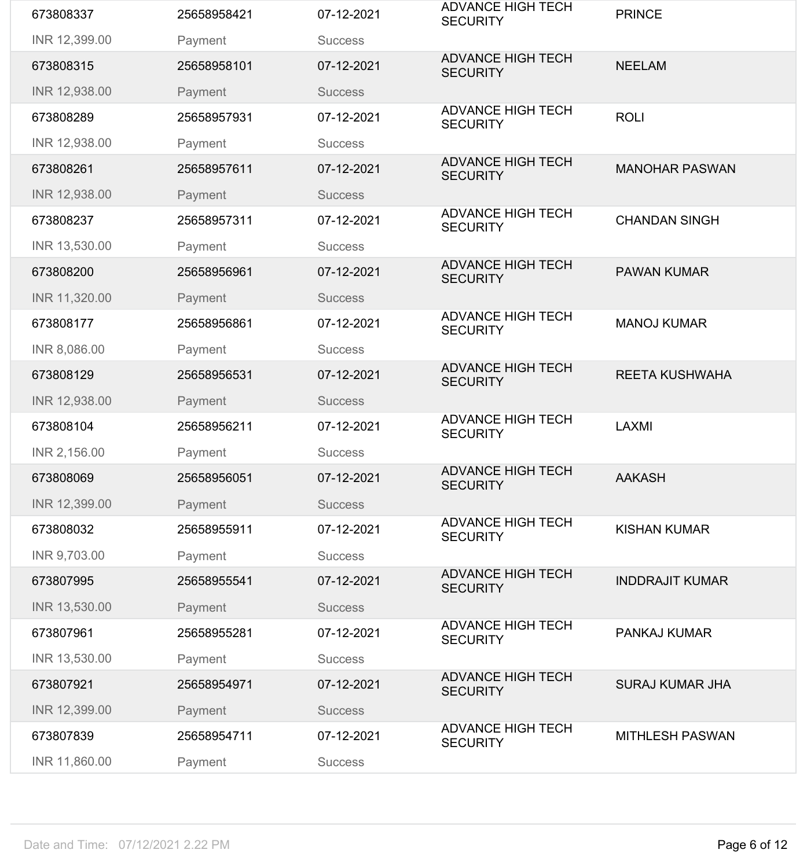| 673808337     | 25658958421 | 07-12-2021     | <b>ADVANCE HIGH TECH</b><br><b>SECURITY</b> | <b>PRINCE</b>          |
|---------------|-------------|----------------|---------------------------------------------|------------------------|
| INR 12,399.00 | Payment     | <b>Success</b> |                                             |                        |
| 673808315     | 25658958101 | 07-12-2021     | <b>ADVANCE HIGH TECH</b><br><b>SECURITY</b> | <b>NEELAM</b>          |
| INR 12,938.00 | Payment     | <b>Success</b> |                                             |                        |
| 673808289     | 25658957931 | 07-12-2021     | <b>ADVANCE HIGH TECH</b><br><b>SECURITY</b> | <b>ROLI</b>            |
| INR 12,938.00 | Payment     | <b>Success</b> |                                             |                        |
| 673808261     | 25658957611 | 07-12-2021     | <b>ADVANCE HIGH TECH</b><br><b>SECURITY</b> | <b>MANOHAR PASWAN</b>  |
| INR 12,938.00 | Payment     | <b>Success</b> |                                             |                        |
| 673808237     | 25658957311 | 07-12-2021     | <b>ADVANCE HIGH TECH</b><br><b>SECURITY</b> | <b>CHANDAN SINGH</b>   |
| INR 13,530.00 | Payment     | <b>Success</b> |                                             |                        |
| 673808200     | 25658956961 | 07-12-2021     | <b>ADVANCE HIGH TECH</b><br><b>SECURITY</b> | <b>PAWAN KUMAR</b>     |
| INR 11,320.00 | Payment     | <b>Success</b> |                                             |                        |
| 673808177     | 25658956861 | 07-12-2021     | <b>ADVANCE HIGH TECH</b><br><b>SECURITY</b> | <b>MANOJ KUMAR</b>     |
| INR 8,086.00  | Payment     | <b>Success</b> |                                             |                        |
| 673808129     | 25658956531 | 07-12-2021     | <b>ADVANCE HIGH TECH</b><br><b>SECURITY</b> | <b>REETA KUSHWAHA</b>  |
| INR 12,938.00 | Payment     | <b>Success</b> |                                             |                        |
| 673808104     | 25658956211 | 07-12-2021     | <b>ADVANCE HIGH TECH</b><br><b>SECURITY</b> | <b>LAXMI</b>           |
|               |             |                |                                             |                        |
| INR 2,156.00  | Payment     | <b>Success</b> |                                             |                        |
| 673808069     | 25658956051 | 07-12-2021     | <b>ADVANCE HIGH TECH</b><br><b>SECURITY</b> | <b>AAKASH</b>          |
| INR 12,399.00 | Payment     | <b>Success</b> |                                             |                        |
| 673808032     | 25658955911 | 07-12-2021     | <b>ADVANCE HIGH TECH</b><br><b>SECURITY</b> | <b>KISHAN KUMAR</b>    |
| INR 9,703.00  | Payment     | <b>Success</b> |                                             |                        |
| 673807995     | 25658955541 | 07-12-2021     | <b>ADVANCE HIGH TECH</b><br><b>SECURITY</b> | <b>INDDRAJIT KUMAR</b> |
| INR 13,530.00 | Payment     | <b>Success</b> |                                             |                        |
| 673807961     | 25658955281 | 07-12-2021     | <b>ADVANCE HIGH TECH</b><br><b>SECURITY</b> | <b>PANKAJ KUMAR</b>    |
| INR 13,530.00 | Payment     | <b>Success</b> |                                             |                        |
| 673807921     | 25658954971 | 07-12-2021     | <b>ADVANCE HIGH TECH</b><br><b>SECURITY</b> | <b>SURAJ KUMAR JHA</b> |
| INR 12,399.00 | Payment     | <b>Success</b> |                                             |                        |
| 673807839     | 25658954711 | 07-12-2021     | <b>ADVANCE HIGH TECH</b><br><b>SECURITY</b> | <b>MITHLESH PASWAN</b> |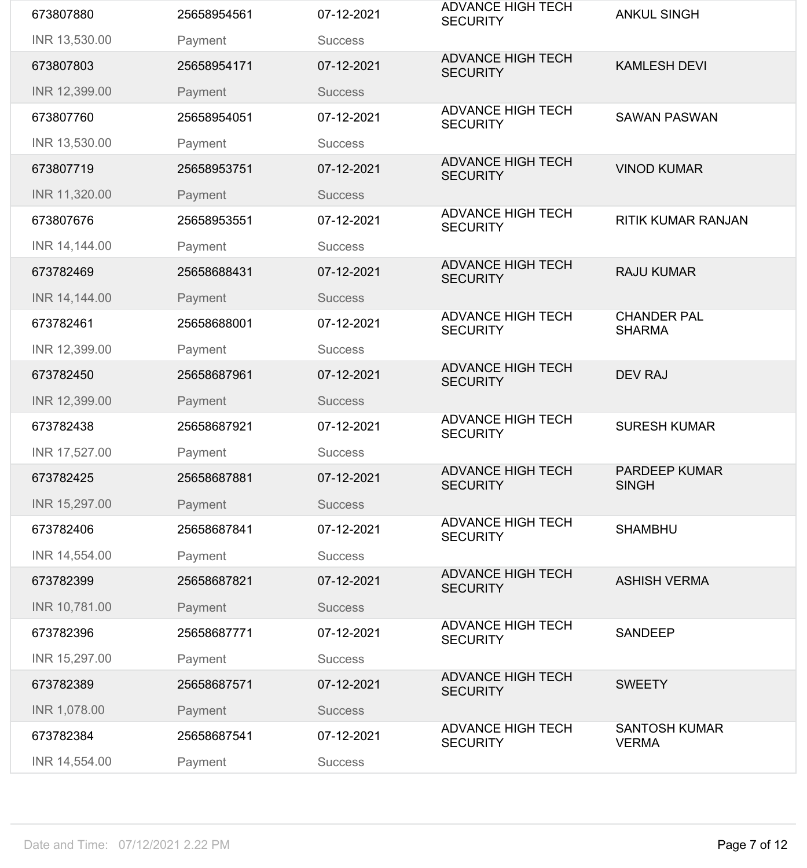| 673807880     | 25658954561 | 07-12-2021     | <b>ADVANCE HIGH TECH</b><br><b>SECURITY</b> | <b>ANKUL SINGH</b>                   |
|---------------|-------------|----------------|---------------------------------------------|--------------------------------------|
| INR 13,530.00 | Payment     | <b>Success</b> |                                             |                                      |
| 673807803     | 25658954171 | 07-12-2021     | <b>ADVANCE HIGH TECH</b><br><b>SECURITY</b> | <b>KAMLESH DEVI</b>                  |
| INR 12,399.00 | Payment     | <b>Success</b> |                                             |                                      |
| 673807760     | 25658954051 | 07-12-2021     | <b>ADVANCE HIGH TECH</b><br><b>SECURITY</b> | <b>SAWAN PASWAN</b>                  |
| INR 13,530.00 | Payment     | <b>Success</b> |                                             |                                      |
| 673807719     | 25658953751 | 07-12-2021     | <b>ADVANCE HIGH TECH</b><br><b>SECURITY</b> | <b>VINOD KUMAR</b>                   |
| INR 11,320.00 | Payment     | <b>Success</b> |                                             |                                      |
| 673807676     | 25658953551 | 07-12-2021     | <b>ADVANCE HIGH TECH</b><br><b>SECURITY</b> | <b>RITIK KUMAR RANJAN</b>            |
| INR 14,144.00 | Payment     | <b>Success</b> |                                             |                                      |
| 673782469     | 25658688431 | 07-12-2021     | <b>ADVANCE HIGH TECH</b><br><b>SECURITY</b> | <b>RAJU KUMAR</b>                    |
| INR 14,144.00 | Payment     | <b>Success</b> |                                             |                                      |
| 673782461     | 25658688001 | 07-12-2021     | <b>ADVANCE HIGH TECH</b><br><b>SECURITY</b> | <b>CHANDER PAL</b><br><b>SHARMA</b>  |
| INR 12,399.00 | Payment     | <b>Success</b> |                                             |                                      |
| 673782450     | 25658687961 | 07-12-2021     | <b>ADVANCE HIGH TECH</b><br><b>SECURITY</b> | <b>DEV RAJ</b>                       |
| INR 12,399.00 | Payment     | <b>Success</b> |                                             |                                      |
|               |             |                | <b>ADVANCE HIGH TECH</b>                    |                                      |
| 673782438     | 25658687921 | 07-12-2021     | <b>SECURITY</b>                             | <b>SURESH KUMAR</b>                  |
| INR 17,527.00 | Payment     | <b>Success</b> |                                             |                                      |
| 673782425     | 25658687881 | 07-12-2021     | <b>ADVANCE HIGH TECH</b><br><b>SECURITY</b> | <b>PARDEEP KUMAR</b><br><b>SINGH</b> |
| INR 15,297.00 | Payment     | <b>Success</b> |                                             |                                      |
| 673782406     | 25658687841 | 07-12-2021     | <b>ADVANCE HIGH TECH</b><br><b>SECURITY</b> | <b>SHAMBHU</b>                       |
| INR 14,554.00 | Payment     | <b>Success</b> |                                             |                                      |
| 673782399     | 25658687821 | 07-12-2021     | <b>ADVANCE HIGH TECH</b><br><b>SECURITY</b> | <b>ASHISH VERMA</b>                  |
| INR 10,781.00 | Payment     | <b>Success</b> |                                             |                                      |
| 673782396     | 25658687771 | 07-12-2021     | <b>ADVANCE HIGH TECH</b><br><b>SECURITY</b> | <b>SANDEEP</b>                       |
| INR 15,297.00 | Payment     | <b>Success</b> |                                             |                                      |
| 673782389     | 25658687571 | 07-12-2021     | <b>ADVANCE HIGH TECH</b><br><b>SECURITY</b> | <b>SWEETY</b>                        |
| INR 1,078.00  | Payment     | <b>Success</b> |                                             |                                      |
| 673782384     | 25658687541 | 07-12-2021     | <b>ADVANCE HIGH TECH</b><br><b>SECURITY</b> | <b>SANTOSH KUMAR</b><br><b>VERMA</b> |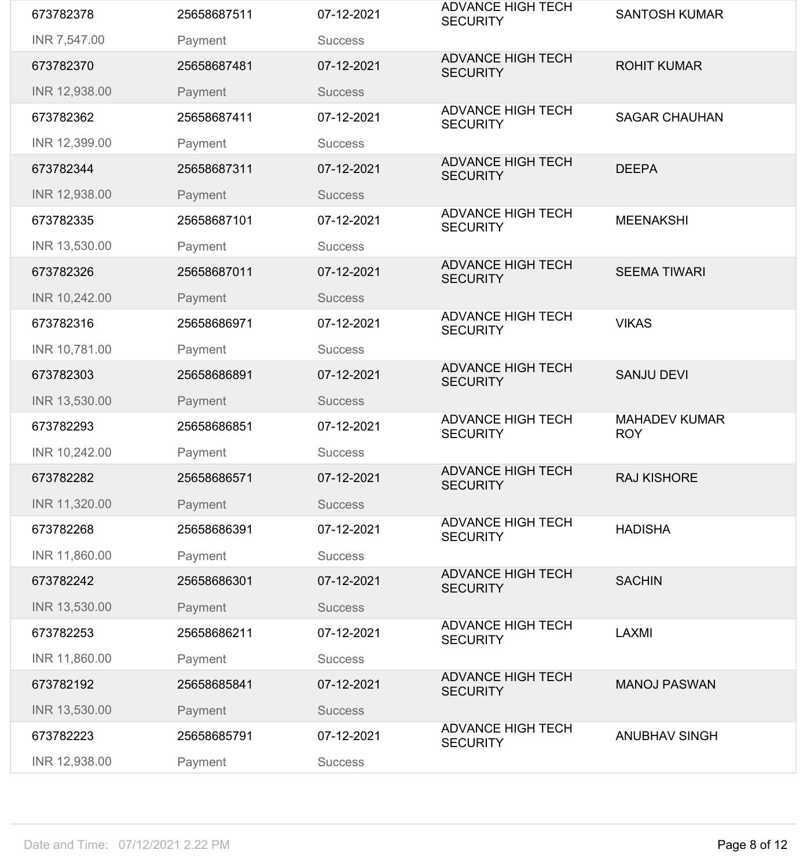| 673782378     | 25658687511 | 07-12-2021     | <b>ADVANCE HIGH TECH</b><br><b>SECURITY</b> | <b>SANTOSH KUMAR</b>               |
|---------------|-------------|----------------|---------------------------------------------|------------------------------------|
| INR 7,547.00  | Payment     | <b>Success</b> |                                             |                                    |
| 673782370     | 25658687481 | 07-12-2021     | <b>ADVANCE HIGH TECH</b><br><b>SECURITY</b> | <b>ROHIT KUMAR</b>                 |
| INR 12,938.00 | Payment     | <b>Success</b> |                                             |                                    |
| 673782362     | 25658687411 | 07-12-2021     | <b>ADVANCE HIGH TECH</b><br><b>SECURITY</b> | <b>SAGAR CHAUHAN</b>               |
| INR 12,399.00 | Payment     | <b>Success</b> |                                             |                                    |
| 673782344     | 25658687311 | 07-12-2021     | <b>ADVANCE HIGH TECH</b><br><b>SECURITY</b> | <b>DEEPA</b>                       |
| INR 12,938.00 | Payment     | <b>Success</b> |                                             |                                    |
| 673782335     | 25658687101 | 07-12-2021     | <b>ADVANCE HIGH TECH</b><br><b>SECURITY</b> | <b>MEENAKSHI</b>                   |
| INR 13,530.00 | Payment     | <b>Success</b> |                                             |                                    |
| 673782326     | 25658687011 | 07-12-2021     | <b>ADVANCE HIGH TECH</b><br><b>SECURITY</b> | <b>SEEMA TIWARI</b>                |
| INR 10,242.00 | Payment     | <b>Success</b> |                                             |                                    |
| 673782316     | 25658686971 | 07-12-2021     | <b>ADVANCE HIGH TECH</b><br><b>SECURITY</b> | <b>VIKAS</b>                       |
| INR 10,781.00 | Payment     | <b>Success</b> |                                             |                                    |
| 673782303     | 25658686891 | 07-12-2021     | <b>ADVANCE HIGH TECH</b><br><b>SECURITY</b> | <b>SANJU DEVI</b>                  |
| INR 13,530.00 | Payment     | <b>Success</b> |                                             |                                    |
| 673782293     | 25658686851 | 07-12-2021     | <b>ADVANCE HIGH TECH</b><br><b>SECURITY</b> | <b>MAHADEV KUMAR</b><br><b>ROY</b> |
| INR 10,242.00 | Payment     | <b>Success</b> |                                             |                                    |
| 673782282     | 25658686571 | 07-12-2021     | <b>ADVANCE HIGH TECH</b><br><b>SECURITY</b> | <b>RAJ KISHORE</b>                 |
| INR 11,320.00 | Payment     | <b>Success</b> |                                             |                                    |
| 673782268     | 25658686391 | 07-12-2021     | <b>ADVANCE HIGH TECH</b><br><b>SECURITY</b> | <b>HADISHA</b>                     |
| INR 11,860.00 | Payment     | <b>Success</b> |                                             |                                    |
| 673782242     | 25658686301 | 07-12-2021     | <b>ADVANCE HIGH TECH</b><br><b>SECURITY</b> | <b>SACHIN</b>                      |
| INR 13,530.00 | Payment     | <b>Success</b> |                                             |                                    |
| 673782253     | 25658686211 | 07-12-2021     | <b>ADVANCE HIGH TECH</b><br><b>SECURITY</b> | <b>LAXMI</b>                       |
| INR 11,860.00 | Payment     | <b>Success</b> |                                             |                                    |
| 673782192     | 25658685841 | 07-12-2021     | <b>ADVANCE HIGH TECH</b><br><b>SECURITY</b> | <b>MANOJ PASWAN</b>                |
| INR 13,530.00 | Payment     | <b>Success</b> |                                             |                                    |
| 673782223     | 25658685791 | 07-12-2021     | <b>ADVANCE HIGH TECH</b><br><b>SECURITY</b> | <b>ANUBHAV SINGH</b>               |
| INR 12,938.00 | Payment     | <b>Success</b> |                                             |                                    |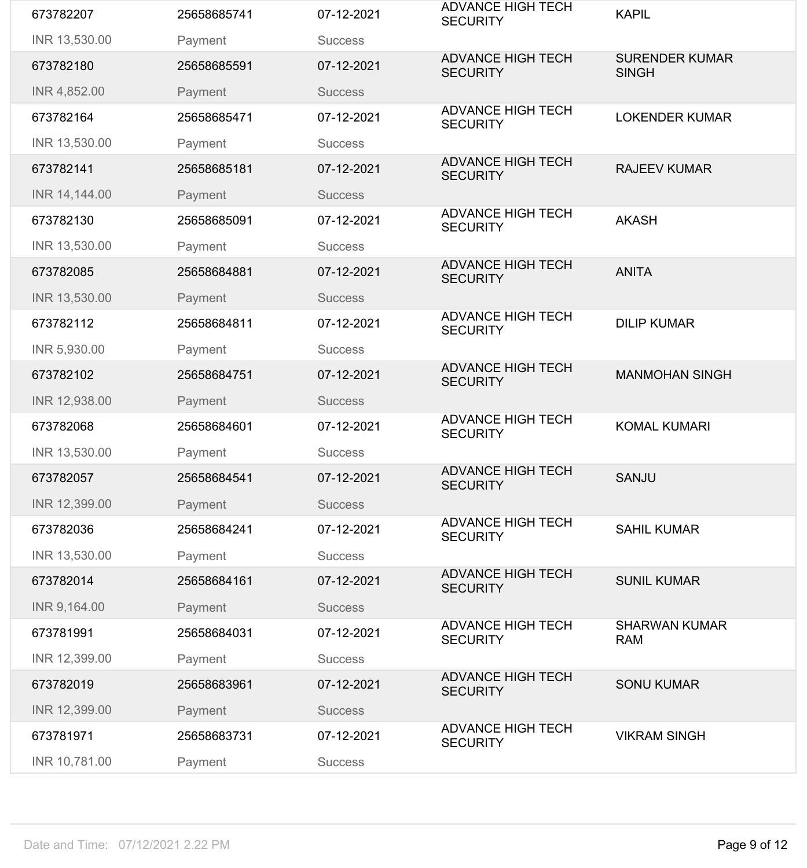| INR 13,530.00<br>Payment<br><b>Success</b><br><b>ADVANCE HIGH TECH</b><br><b>SURENDER KUMAR</b><br>673782180<br>25658685591<br>07-12-2021<br><b>SECURITY</b><br><b>SINGH</b><br>INR 4,852.00<br>Payment<br><b>Success</b><br><b>ADVANCE HIGH TECH</b><br>07-12-2021<br><b>LOKENDER KUMAR</b><br>673782164<br>25658685471<br><b>SECURITY</b><br>INR 13,530.00<br>Payment<br><b>Success</b><br><b>ADVANCE HIGH TECH</b><br>673782141<br>07-12-2021<br><b>RAJEEV KUMAR</b><br>25658685181<br><b>SECURITY</b><br>INR 14,144.00<br>Payment<br><b>Success</b><br><b>ADVANCE HIGH TECH</b><br><b>AKASH</b><br>673782130<br>25658685091<br>07-12-2021<br><b>SECURITY</b><br>INR 13,530.00<br>Payment<br><b>Success</b><br><b>ADVANCE HIGH TECH</b><br><b>ANITA</b><br>673782085<br>07-12-2021<br>25658684881<br><b>SECURITY</b><br>INR 13,530.00<br>Payment<br><b>Success</b><br><b>ADVANCE HIGH TECH</b><br>07-12-2021<br><b>DILIP KUMAR</b><br>673782112<br>25658684811<br><b>SECURITY</b><br>INR 5,930.00<br>Payment<br><b>Success</b><br><b>ADVANCE HIGH TECH</b><br>673782102<br>25658684751<br>07-12-2021<br><b>MANMOHAN SINGH</b><br><b>SECURITY</b><br>INR 12,938.00<br>Payment<br><b>Success</b><br><b>ADVANCE HIGH TECH</b><br><b>KOMAL KUMARI</b><br>673782068<br>25658684601<br>07-12-2021<br><b>SECURITY</b><br>INR 13,530.00<br>Payment<br><b>Success</b><br><b>ADVANCE HIGH TECH</b><br><b>SANJU</b><br>07-12-2021<br>673782057<br>25658684541<br><b>SECURITY</b><br>INR 12,399.00<br>Payment<br><b>Success</b><br><b>ADVANCE HIGH TECH</b><br><b>SAHIL KUMAR</b><br>673782036<br>25658684241<br>07-12-2021<br><b>SECURITY</b><br>INR 13,530.00<br>Payment<br><b>Success</b><br><b>ADVANCE HIGH TECH</b><br>25658684161<br>07-12-2021<br><b>SUNIL KUMAR</b><br>673782014<br><b>SECURITY</b><br>INR 9,164.00<br>Payment<br><b>Success</b><br><b>ADVANCE HIGH TECH</b><br><b>SHARWAN KUMAR</b><br>673781991<br>25658684031<br>07-12-2021<br><b>SECURITY</b><br><b>RAM</b><br>INR 12,399.00<br>Payment<br><b>Success</b><br><b>ADVANCE HIGH TECH</b><br>673782019<br>07-12-2021<br><b>SONU KUMAR</b><br>25658683961<br><b>SECURITY</b><br>INR 12,399.00<br>Payment<br><b>Success</b> | 673782207 | 25658685741 | 07-12-2021 | <b>ADVANCE HIGH TECH</b><br><b>SECURITY</b> | <b>KAPIL</b> |
|------------------------------------------------------------------------------------------------------------------------------------------------------------------------------------------------------------------------------------------------------------------------------------------------------------------------------------------------------------------------------------------------------------------------------------------------------------------------------------------------------------------------------------------------------------------------------------------------------------------------------------------------------------------------------------------------------------------------------------------------------------------------------------------------------------------------------------------------------------------------------------------------------------------------------------------------------------------------------------------------------------------------------------------------------------------------------------------------------------------------------------------------------------------------------------------------------------------------------------------------------------------------------------------------------------------------------------------------------------------------------------------------------------------------------------------------------------------------------------------------------------------------------------------------------------------------------------------------------------------------------------------------------------------------------------------------------------------------------------------------------------------------------------------------------------------------------------------------------------------------------------------------------------------------------------------------------------------------------------------------------------------------------------------------------------------------------------------------------------------------------------------------------------------------------------------|-----------|-------------|------------|---------------------------------------------|--------------|
|                                                                                                                                                                                                                                                                                                                                                                                                                                                                                                                                                                                                                                                                                                                                                                                                                                                                                                                                                                                                                                                                                                                                                                                                                                                                                                                                                                                                                                                                                                                                                                                                                                                                                                                                                                                                                                                                                                                                                                                                                                                                                                                                                                                          |           |             |            |                                             |              |
|                                                                                                                                                                                                                                                                                                                                                                                                                                                                                                                                                                                                                                                                                                                                                                                                                                                                                                                                                                                                                                                                                                                                                                                                                                                                                                                                                                                                                                                                                                                                                                                                                                                                                                                                                                                                                                                                                                                                                                                                                                                                                                                                                                                          |           |             |            |                                             |              |
|                                                                                                                                                                                                                                                                                                                                                                                                                                                                                                                                                                                                                                                                                                                                                                                                                                                                                                                                                                                                                                                                                                                                                                                                                                                                                                                                                                                                                                                                                                                                                                                                                                                                                                                                                                                                                                                                                                                                                                                                                                                                                                                                                                                          |           |             |            |                                             |              |
|                                                                                                                                                                                                                                                                                                                                                                                                                                                                                                                                                                                                                                                                                                                                                                                                                                                                                                                                                                                                                                                                                                                                                                                                                                                                                                                                                                                                                                                                                                                                                                                                                                                                                                                                                                                                                                                                                                                                                                                                                                                                                                                                                                                          |           |             |            |                                             |              |
|                                                                                                                                                                                                                                                                                                                                                                                                                                                                                                                                                                                                                                                                                                                                                                                                                                                                                                                                                                                                                                                                                                                                                                                                                                                                                                                                                                                                                                                                                                                                                                                                                                                                                                                                                                                                                                                                                                                                                                                                                                                                                                                                                                                          |           |             |            |                                             |              |
|                                                                                                                                                                                                                                                                                                                                                                                                                                                                                                                                                                                                                                                                                                                                                                                                                                                                                                                                                                                                                                                                                                                                                                                                                                                                                                                                                                                                                                                                                                                                                                                                                                                                                                                                                                                                                                                                                                                                                                                                                                                                                                                                                                                          |           |             |            |                                             |              |
|                                                                                                                                                                                                                                                                                                                                                                                                                                                                                                                                                                                                                                                                                                                                                                                                                                                                                                                                                                                                                                                                                                                                                                                                                                                                                                                                                                                                                                                                                                                                                                                                                                                                                                                                                                                                                                                                                                                                                                                                                                                                                                                                                                                          |           |             |            |                                             |              |
|                                                                                                                                                                                                                                                                                                                                                                                                                                                                                                                                                                                                                                                                                                                                                                                                                                                                                                                                                                                                                                                                                                                                                                                                                                                                                                                                                                                                                                                                                                                                                                                                                                                                                                                                                                                                                                                                                                                                                                                                                                                                                                                                                                                          |           |             |            |                                             |              |
|                                                                                                                                                                                                                                                                                                                                                                                                                                                                                                                                                                                                                                                                                                                                                                                                                                                                                                                                                                                                                                                                                                                                                                                                                                                                                                                                                                                                                                                                                                                                                                                                                                                                                                                                                                                                                                                                                                                                                                                                                                                                                                                                                                                          |           |             |            |                                             |              |
|                                                                                                                                                                                                                                                                                                                                                                                                                                                                                                                                                                                                                                                                                                                                                                                                                                                                                                                                                                                                                                                                                                                                                                                                                                                                                                                                                                                                                                                                                                                                                                                                                                                                                                                                                                                                                                                                                                                                                                                                                                                                                                                                                                                          |           |             |            |                                             |              |
|                                                                                                                                                                                                                                                                                                                                                                                                                                                                                                                                                                                                                                                                                                                                                                                                                                                                                                                                                                                                                                                                                                                                                                                                                                                                                                                                                                                                                                                                                                                                                                                                                                                                                                                                                                                                                                                                                                                                                                                                                                                                                                                                                                                          |           |             |            |                                             |              |
|                                                                                                                                                                                                                                                                                                                                                                                                                                                                                                                                                                                                                                                                                                                                                                                                                                                                                                                                                                                                                                                                                                                                                                                                                                                                                                                                                                                                                                                                                                                                                                                                                                                                                                                                                                                                                                                                                                                                                                                                                                                                                                                                                                                          |           |             |            |                                             |              |
|                                                                                                                                                                                                                                                                                                                                                                                                                                                                                                                                                                                                                                                                                                                                                                                                                                                                                                                                                                                                                                                                                                                                                                                                                                                                                                                                                                                                                                                                                                                                                                                                                                                                                                                                                                                                                                                                                                                                                                                                                                                                                                                                                                                          |           |             |            |                                             |              |
|                                                                                                                                                                                                                                                                                                                                                                                                                                                                                                                                                                                                                                                                                                                                                                                                                                                                                                                                                                                                                                                                                                                                                                                                                                                                                                                                                                                                                                                                                                                                                                                                                                                                                                                                                                                                                                                                                                                                                                                                                                                                                                                                                                                          |           |             |            |                                             |              |
|                                                                                                                                                                                                                                                                                                                                                                                                                                                                                                                                                                                                                                                                                                                                                                                                                                                                                                                                                                                                                                                                                                                                                                                                                                                                                                                                                                                                                                                                                                                                                                                                                                                                                                                                                                                                                                                                                                                                                                                                                                                                                                                                                                                          |           |             |            |                                             |              |
|                                                                                                                                                                                                                                                                                                                                                                                                                                                                                                                                                                                                                                                                                                                                                                                                                                                                                                                                                                                                                                                                                                                                                                                                                                                                                                                                                                                                                                                                                                                                                                                                                                                                                                                                                                                                                                                                                                                                                                                                                                                                                                                                                                                          |           |             |            |                                             |              |
|                                                                                                                                                                                                                                                                                                                                                                                                                                                                                                                                                                                                                                                                                                                                                                                                                                                                                                                                                                                                                                                                                                                                                                                                                                                                                                                                                                                                                                                                                                                                                                                                                                                                                                                                                                                                                                                                                                                                                                                                                                                                                                                                                                                          |           |             |            |                                             |              |
|                                                                                                                                                                                                                                                                                                                                                                                                                                                                                                                                                                                                                                                                                                                                                                                                                                                                                                                                                                                                                                                                                                                                                                                                                                                                                                                                                                                                                                                                                                                                                                                                                                                                                                                                                                                                                                                                                                                                                                                                                                                                                                                                                                                          |           |             |            |                                             |              |
|                                                                                                                                                                                                                                                                                                                                                                                                                                                                                                                                                                                                                                                                                                                                                                                                                                                                                                                                                                                                                                                                                                                                                                                                                                                                                                                                                                                                                                                                                                                                                                                                                                                                                                                                                                                                                                                                                                                                                                                                                                                                                                                                                                                          |           |             |            |                                             |              |
|                                                                                                                                                                                                                                                                                                                                                                                                                                                                                                                                                                                                                                                                                                                                                                                                                                                                                                                                                                                                                                                                                                                                                                                                                                                                                                                                                                                                                                                                                                                                                                                                                                                                                                                                                                                                                                                                                                                                                                                                                                                                                                                                                                                          |           |             |            |                                             |              |
|                                                                                                                                                                                                                                                                                                                                                                                                                                                                                                                                                                                                                                                                                                                                                                                                                                                                                                                                                                                                                                                                                                                                                                                                                                                                                                                                                                                                                                                                                                                                                                                                                                                                                                                                                                                                                                                                                                                                                                                                                                                                                                                                                                                          |           |             |            |                                             |              |
|                                                                                                                                                                                                                                                                                                                                                                                                                                                                                                                                                                                                                                                                                                                                                                                                                                                                                                                                                                                                                                                                                                                                                                                                                                                                                                                                                                                                                                                                                                                                                                                                                                                                                                                                                                                                                                                                                                                                                                                                                                                                                                                                                                                          |           |             |            |                                             |              |
|                                                                                                                                                                                                                                                                                                                                                                                                                                                                                                                                                                                                                                                                                                                                                                                                                                                                                                                                                                                                                                                                                                                                                                                                                                                                                                                                                                                                                                                                                                                                                                                                                                                                                                                                                                                                                                                                                                                                                                                                                                                                                                                                                                                          |           |             |            |                                             |              |
|                                                                                                                                                                                                                                                                                                                                                                                                                                                                                                                                                                                                                                                                                                                                                                                                                                                                                                                                                                                                                                                                                                                                                                                                                                                                                                                                                                                                                                                                                                                                                                                                                                                                                                                                                                                                                                                                                                                                                                                                                                                                                                                                                                                          |           |             |            |                                             |              |
|                                                                                                                                                                                                                                                                                                                                                                                                                                                                                                                                                                                                                                                                                                                                                                                                                                                                                                                                                                                                                                                                                                                                                                                                                                                                                                                                                                                                                                                                                                                                                                                                                                                                                                                                                                                                                                                                                                                                                                                                                                                                                                                                                                                          |           |             |            |                                             |              |
|                                                                                                                                                                                                                                                                                                                                                                                                                                                                                                                                                                                                                                                                                                                                                                                                                                                                                                                                                                                                                                                                                                                                                                                                                                                                                                                                                                                                                                                                                                                                                                                                                                                                                                                                                                                                                                                                                                                                                                                                                                                                                                                                                                                          |           |             |            |                                             |              |
|                                                                                                                                                                                                                                                                                                                                                                                                                                                                                                                                                                                                                                                                                                                                                                                                                                                                                                                                                                                                                                                                                                                                                                                                                                                                                                                                                                                                                                                                                                                                                                                                                                                                                                                                                                                                                                                                                                                                                                                                                                                                                                                                                                                          |           |             |            |                                             |              |
| <b>VIKRAM SINGH</b><br>673781971<br>25658683731<br>07-12-2021<br><b>SECURITY</b>                                                                                                                                                                                                                                                                                                                                                                                                                                                                                                                                                                                                                                                                                                                                                                                                                                                                                                                                                                                                                                                                                                                                                                                                                                                                                                                                                                                                                                                                                                                                                                                                                                                                                                                                                                                                                                                                                                                                                                                                                                                                                                         |           |             |            | <b>ADVANCE HIGH TECH</b>                    |              |
| INR 10,781.00<br>Payment<br><b>Success</b>                                                                                                                                                                                                                                                                                                                                                                                                                                                                                                                                                                                                                                                                                                                                                                                                                                                                                                                                                                                                                                                                                                                                                                                                                                                                                                                                                                                                                                                                                                                                                                                                                                                                                                                                                                                                                                                                                                                                                                                                                                                                                                                                               |           |             |            |                                             |              |
|                                                                                                                                                                                                                                                                                                                                                                                                                                                                                                                                                                                                                                                                                                                                                                                                                                                                                                                                                                                                                                                                                                                                                                                                                                                                                                                                                                                                                                                                                                                                                                                                                                                                                                                                                                                                                                                                                                                                                                                                                                                                                                                                                                                          |           |             |            |                                             |              |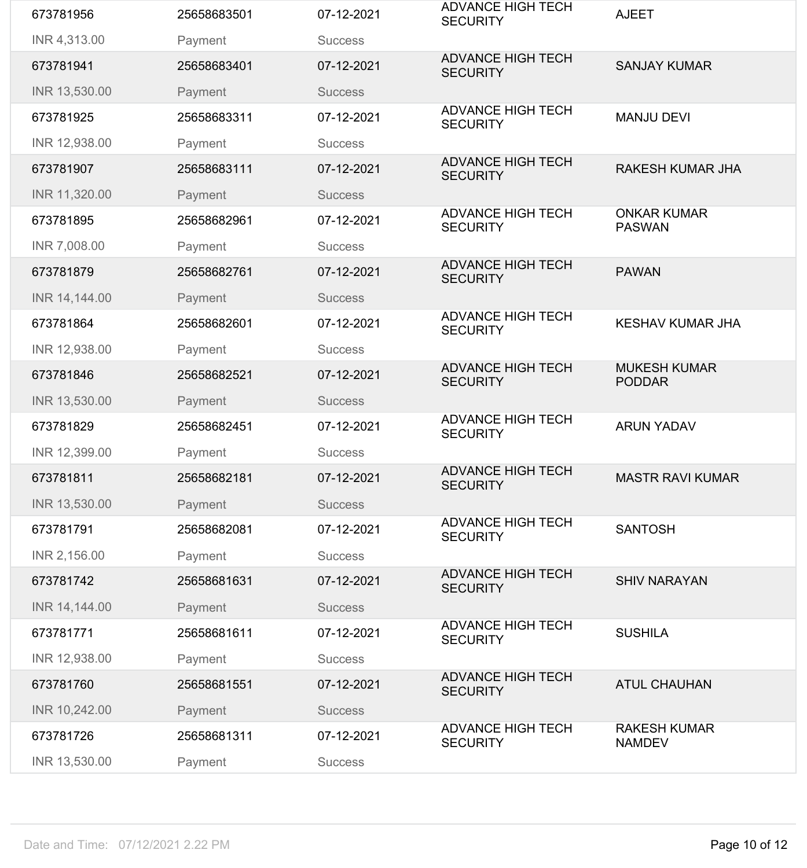| 673781956                  | 25658683501 | 07-12-2021     | <b>ADVANCE HIGH TECH</b><br><b>SECURITY</b> | <b>AJEET</b>                         |
|----------------------------|-------------|----------------|---------------------------------------------|--------------------------------------|
| INR 4,313.00               | Payment     | <b>Success</b> |                                             |                                      |
| 673781941                  | 25658683401 | 07-12-2021     | <b>ADVANCE HIGH TECH</b><br><b>SECURITY</b> | <b>SANJAY KUMAR</b>                  |
| INR 13,530.00              | Payment     | <b>Success</b> |                                             |                                      |
| 673781925                  | 25658683311 | 07-12-2021     | <b>ADVANCE HIGH TECH</b><br><b>SECURITY</b> | <b>MANJU DEVI</b>                    |
| INR 12,938.00              | Payment     | <b>Success</b> |                                             |                                      |
| 673781907                  | 25658683111 | 07-12-2021     | <b>ADVANCE HIGH TECH</b><br><b>SECURITY</b> | <b>RAKESH KUMAR JHA</b>              |
| INR 11,320.00              | Payment     | <b>Success</b> |                                             |                                      |
| 673781895                  | 25658682961 | 07-12-2021     | <b>ADVANCE HIGH TECH</b><br><b>SECURITY</b> | <b>ONKAR KUMAR</b><br><b>PASWAN</b>  |
| INR 7,008.00               | Payment     | <b>Success</b> |                                             |                                      |
| 673781879                  | 25658682761 | 07-12-2021     | <b>ADVANCE HIGH TECH</b><br><b>SECURITY</b> | <b>PAWAN</b>                         |
| INR 14,144.00              | Payment     | <b>Success</b> |                                             |                                      |
| 673781864                  | 25658682601 | 07-12-2021     | <b>ADVANCE HIGH TECH</b><br><b>SECURITY</b> | <b>KESHAV KUMAR JHA</b>              |
| INR 12,938.00              | Payment     | <b>Success</b> |                                             |                                      |
| 673781846                  | 25658682521 | 07-12-2021     | <b>ADVANCE HIGH TECH</b><br><b>SECURITY</b> | <b>MUKESH KUMAR</b><br><b>PODDAR</b> |
| INR 13,530.00              | Payment     | <b>Success</b> |                                             |                                      |
| 673781829                  | 25658682451 | 07-12-2021     | <b>ADVANCE HIGH TECH</b><br><b>SECURITY</b> | <b>ARUN YADAV</b>                    |
| INR 12,399.00              |             |                |                                             |                                      |
|                            | Payment     | <b>Success</b> |                                             |                                      |
| 673781811                  | 25658682181 | 07-12-2021     | <b>ADVANCE HIGH TECH</b><br><b>SECURITY</b> | <b>MASTR RAVI KUMAR</b>              |
| INR 13,530.00              | Payment     | <b>Success</b> |                                             |                                      |
| 673781791                  | 25658682081 | 07-12-2021     | <b>ADVANCE HIGH TECH</b><br><b>SECURITY</b> | <b>SANTOSH</b>                       |
| INR 2,156.00               | Payment     | <b>Success</b> |                                             |                                      |
| 673781742                  | 25658681631 | 07-12-2021     | <b>ADVANCE HIGH TECH</b><br><b>SECURITY</b> | <b>SHIV NARAYAN</b>                  |
| INR 14,144.00              | Payment     | <b>Success</b> |                                             |                                      |
| 673781771                  | 25658681611 | 07-12-2021     | <b>ADVANCE HIGH TECH</b><br><b>SECURITY</b> | <b>SUSHILA</b>                       |
| INR 12,938.00              | Payment     | <b>Success</b> |                                             |                                      |
| 673781760                  | 25658681551 | 07-12-2021     | <b>ADVANCE HIGH TECH</b><br><b>SECURITY</b> | <b>ATUL CHAUHAN</b>                  |
| INR 10,242.00              | Payment     | <b>Success</b> |                                             |                                      |
| 673781726<br>INR 13,530.00 | 25658681311 | 07-12-2021     | <b>ADVANCE HIGH TECH</b><br><b>SECURITY</b> | <b>RAKESH KUMAR</b><br><b>NAMDEV</b> |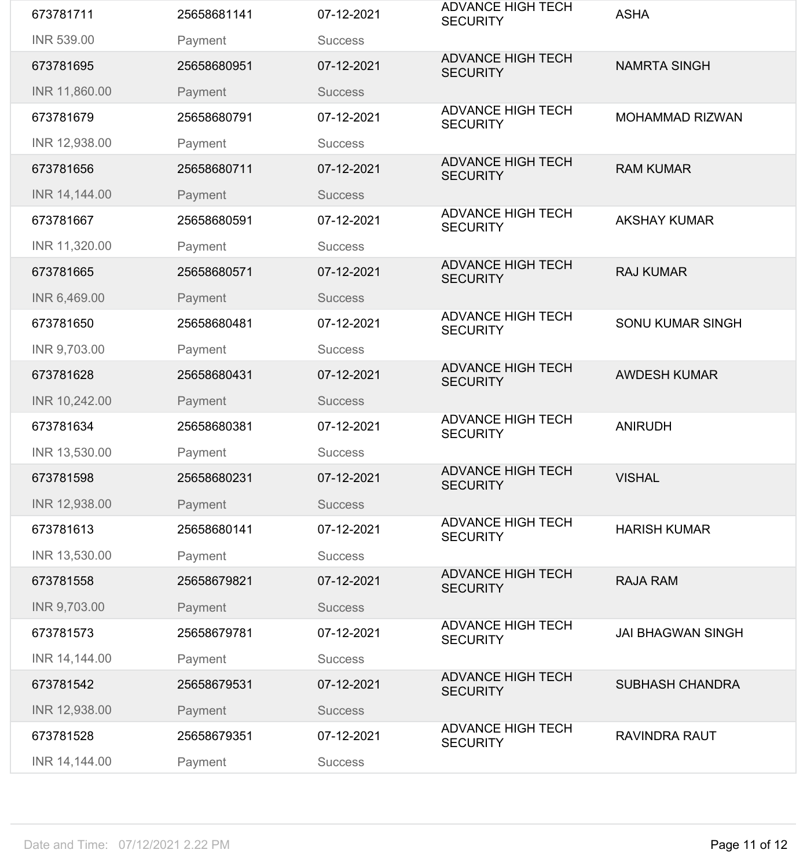| 673781711         | 25658681141 | 07-12-2021     | <b>ADVANCE HIGH TECH</b><br><b>SECURITY</b> | <b>ASHA</b>              |
|-------------------|-------------|----------------|---------------------------------------------|--------------------------|
| <b>INR 539.00</b> | Payment     | <b>Success</b> |                                             |                          |
| 673781695         | 25658680951 | 07-12-2021     | <b>ADVANCE HIGH TECH</b><br><b>SECURITY</b> | <b>NAMRTA SINGH</b>      |
| INR 11,860.00     | Payment     | <b>Success</b> |                                             |                          |
| 673781679         | 25658680791 | 07-12-2021     | <b>ADVANCE HIGH TECH</b><br><b>SECURITY</b> | <b>MOHAMMAD RIZWAN</b>   |
| INR 12,938.00     | Payment     | <b>Success</b> |                                             |                          |
| 673781656         | 25658680711 | 07-12-2021     | <b>ADVANCE HIGH TECH</b><br><b>SECURITY</b> | <b>RAM KUMAR</b>         |
| INR 14,144.00     | Payment     | <b>Success</b> |                                             |                          |
| 673781667         | 25658680591 | 07-12-2021     | <b>ADVANCE HIGH TECH</b><br><b>SECURITY</b> | <b>AKSHAY KUMAR</b>      |
| INR 11,320.00     | Payment     | <b>Success</b> |                                             |                          |
| 673781665         | 25658680571 | 07-12-2021     | <b>ADVANCE HIGH TECH</b><br><b>SECURITY</b> | <b>RAJ KUMAR</b>         |
| INR 6,469.00      | Payment     | <b>Success</b> |                                             |                          |
| 673781650         | 25658680481 | 07-12-2021     | <b>ADVANCE HIGH TECH</b><br><b>SECURITY</b> | <b>SONU KUMAR SINGH</b>  |
| INR 9,703.00      | Payment     | <b>Success</b> |                                             |                          |
| 673781628         | 25658680431 | 07-12-2021     | <b>ADVANCE HIGH TECH</b><br><b>SECURITY</b> | <b>AWDESH KUMAR</b>      |
| INR 10,242.00     | Payment     | <b>Success</b> |                                             |                          |
| 673781634         | 25658680381 | 07-12-2021     | <b>ADVANCE HIGH TECH</b><br><b>SECURITY</b> | <b>ANIRUDH</b>           |
| INR 13,530.00     | Payment     | <b>Success</b> |                                             |                          |
| 673781598         | 25658680231 | 07-12-2021     | <b>ADVANCE HIGH TECH</b><br><b>SECURITY</b> | <b>VISHAL</b>            |
| INR 12,938.00     | Payment     |                |                                             |                          |
|                   |             | <b>Success</b> |                                             |                          |
| 673781613         | 25658680141 | 07-12-2021     | <b>ADVANCE HIGH TECH</b><br><b>SECURITY</b> | <b>HARISH KUMAR</b>      |
| INR 13,530.00     | Payment     | <b>Success</b> |                                             |                          |
| 673781558         | 25658679821 | 07-12-2021     | <b>ADVANCE HIGH TECH</b><br><b>SECURITY</b> | <b>RAJA RAM</b>          |
| INR 9,703.00      | Payment     | <b>Success</b> |                                             |                          |
| 673781573         | 25658679781 | 07-12-2021     | <b>ADVANCE HIGH TECH</b><br><b>SECURITY</b> | <b>JAI BHAGWAN SINGH</b> |
| INR 14,144.00     | Payment     | <b>Success</b> |                                             |                          |
| 673781542         | 25658679531 | 07-12-2021     | <b>ADVANCE HIGH TECH</b><br><b>SECURITY</b> | <b>SUBHASH CHANDRA</b>   |
| INR 12,938.00     | Payment     | <b>Success</b> |                                             |                          |
| 673781528         | 25658679351 | 07-12-2021     | <b>ADVANCE HIGH TECH</b><br><b>SECURITY</b> | <b>RAVINDRA RAUT</b>     |